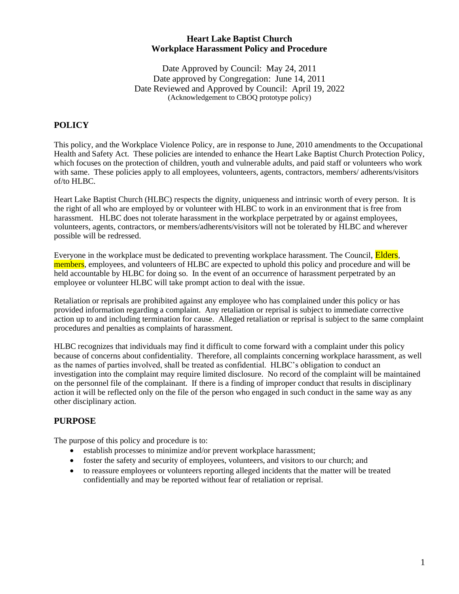## **Heart Lake Baptist Church Workplace Harassment Policy and Procedure**

Date Approved by Council: May 24, 2011 Date approved by Congregation: June 14, 2011 Date Reviewed and Approved by Council: April 19, 2022 (Acknowledgement to CBOQ prototype policy)

# **POLICY**

This policy, and the Workplace Violence Policy, are in response to June, 2010 amendments to the Occupational Health and Safety Act. These policies are intended to enhance the Heart Lake Baptist Church Protection Policy, which focuses on the protection of children, youth and vulnerable adults, and paid staff or volunteers who work with same. These policies apply to all employees, volunteers, agents, contractors, members/ adherents/visitors of/to HLBC.

Heart Lake Baptist Church (HLBC) respects the dignity, uniqueness and intrinsic worth of every person. It is the right of all who are employed by or volunteer with HLBC to work in an environment that is free from harassment. HLBC does not tolerate harassment in the workplace perpetrated by or against employees, volunteers, agents, contractors, or members/adherents/visitors will not be tolerated by HLBC and wherever possible will be redressed.

Everyone in the workplace must be dedicated to preventing workplace harassment. The Council, **Elders**, members, employees, and volunteers of HLBC are expected to uphold this policy and procedure and will be held accountable by HLBC for doing so. In the event of an occurrence of harassment perpetrated by an employee or volunteer HLBC will take prompt action to deal with the issue.

Retaliation or reprisals are prohibited against any employee who has complained under this policy or has provided information regarding a complaint. Any retaliation or reprisal is subject to immediate corrective action up to and including termination for cause. Alleged retaliation or reprisal is subject to the same complaint procedures and penalties as complaints of harassment.

HLBC recognizes that individuals may find it difficult to come forward with a complaint under this policy because of concerns about confidentiality. Therefore, all complaints concerning workplace harassment, as well as the names of parties involved, shall be treated as confidential. HLBC's obligation to conduct an investigation into the complaint may require limited disclosure. No record of the complaint will be maintained on the personnel file of the complainant. If there is a finding of improper conduct that results in disciplinary action it will be reflected only on the file of the person who engaged in such conduct in the same way as any other disciplinary action.

## **PURPOSE**

The purpose of this policy and procedure is to:

- establish processes to minimize and/or prevent workplace harassment;
- foster the safety and security of employees, volunteers, and visitors to our church; and
- to reassure employees or volunteers reporting alleged incidents that the matter will be treated confidentially and may be reported without fear of retaliation or reprisal.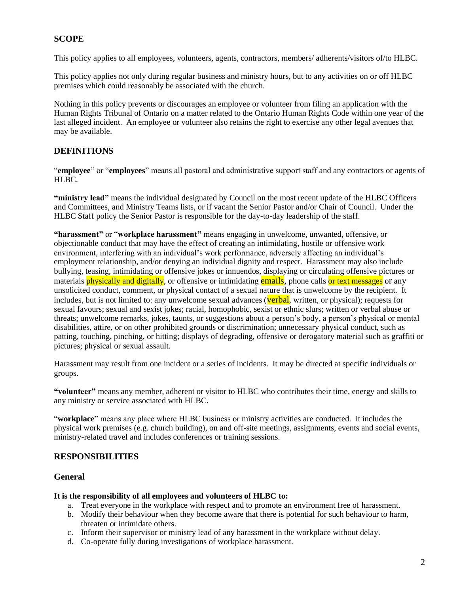## **SCOPE**

This policy applies to all employees, volunteers, agents, contractors, members/ adherents/visitors of/to HLBC.

This policy applies not only during regular business and ministry hours, but to any activities on or off HLBC premises which could reasonably be associated with the church.

Nothing in this policy prevents or discourages an employee or volunteer from filing an application with the Human Rights Tribunal of Ontario on a matter related to the Ontario Human Rights Code within one year of the last alleged incident. An employee or volunteer also retains the right to exercise any other legal avenues that may be available.

## **DEFINITIONS**

"**employee**" or "**employees**" means all pastoral and administrative support staff and any contractors or agents of HLBC.

**"ministry lead"** means the individual designated by Council on the most recent update of the HLBC Officers and Committees, and Ministry Teams lists, or if vacant the Senior Pastor and/or Chair of Council. Under the HLBC Staff policy the Senior Pastor is responsible for the day-to-day leadership of the staff.

**"harassment"** or "**workplace harassment"** means engaging in unwelcome, unwanted, offensive, or objectionable conduct that may have the effect of creating an intimidating, hostile or offensive work environment, interfering with an individual's work performance, adversely affecting an individual's employment relationship, and/or denying an individual dignity and respect. Harassment may also include bullying, teasing, intimidating or offensive jokes or innuendos, displaying or circulating offensive pictures or materials physically and digitally, or offensive or intimidating emails, phone calls or text messages or any unsolicited conduct, comment, or physical contact of a sexual nature that is unwelcome by the recipient. It includes, but is not limited to: any unwelcome sexual advances (verbal, written, or physical); requests for sexual favours; sexual and sexist jokes; racial, homophobic, sexist or ethnic slurs; written or verbal abuse or threats; unwelcome remarks, jokes, taunts, or suggestions about a person's body, a person's physical or mental disabilities, attire, or on other prohibited grounds or discrimination; unnecessary physical conduct, such as patting, touching, pinching, or hitting; displays of degrading, offensive or derogatory material such as graffiti or pictures; physical or sexual assault.

Harassment may result from one incident or a series of incidents. It may be directed at specific individuals or groups.

**"volunteer"** means any member, adherent or visitor to HLBC who contributes their time, energy and skills to any ministry or service associated with HLBC.

"**workplace**" means any place where HLBC business or ministry activities are conducted. It includes the physical work premises (e.g. church building), on and off-site meetings, assignments, events and social events, ministry-related travel and includes conferences or training sessions.

## **RESPONSIBILITIES**

## **General**

#### **It is the responsibility of all employees and volunteers of HLBC to:**

- a. Treat everyone in the workplace with respect and to promote an environment free of harassment.
- b. Modify their behaviour when they become aware that there is potential for such behaviour to harm, threaten or intimidate others.
- c. Inform their supervisor or ministry lead of any harassment in the workplace without delay.
- d. Co-operate fully during investigations of workplace harassment.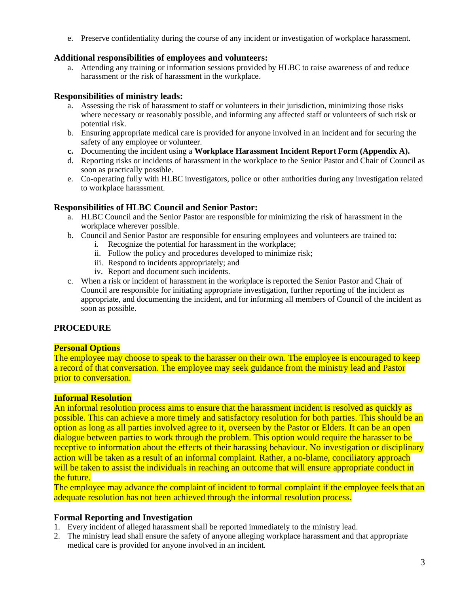e. Preserve confidentiality during the course of any incident or investigation of workplace harassment.

#### **Additional responsibilities of employees and volunteers:**

a. Attending any training or information sessions provided by HLBC to raise awareness of and reduce harassment or the risk of harassment in the workplace.

## **Responsibilities of ministry leads:**

- a. Assessing the risk of harassment to staff or volunteers in their jurisdiction, minimizing those risks where necessary or reasonably possible, and informing any affected staff or volunteers of such risk or potential risk.
- b. Ensuring appropriate medical care is provided for anyone involved in an incident and for securing the safety of any employee or volunteer.
- **c.** Documenting the incident using a **Workplace Harassment Incident Report Form (Appendix A).**
- d. Reporting risks or incidents of harassment in the workplace to the Senior Pastor and Chair of Council as soon as practically possible.
- e. Co-operating fully with HLBC investigators, police or other authorities during any investigation related to workplace harassment.

## **Responsibilities of HLBC Council and Senior Pastor:**

- a. HLBC Council and the Senior Pastor are responsible for minimizing the risk of harassment in the workplace wherever possible.
- b. Council and Senior Pastor are responsible for ensuring employees and volunteers are trained to:
	- i. Recognize the potential for harassment in the workplace;
		- ii. Follow the policy and procedures developed to minimize risk;
		- iii. Respond to incidents appropriately; and
		- iv. Report and document such incidents.
- c. When a risk or incident of harassment in the workplace is reported the Senior Pastor and Chair of Council are responsible for initiating appropriate investigation, further reporting of the incident as appropriate, and documenting the incident, and for informing all members of Council of the incident as soon as possible.

## **PROCEDURE**

## **Personal Options**

The employee may choose to speak to the harasser on their own. The employee is encouraged to keep a record of that conversation. The employee may seek guidance from the ministry lead and Pastor prior to conversation.

#### **Informal Resolution**

An informal resolution process aims to ensure that the harassment incident is resolved as quickly as possible. This can achieve a more timely and satisfactory resolution for both parties. This should be an option as long as all parties involved agree to it, overseen by the Pastor or Elders. It can be an open dialogue between parties to work through the problem. This option would require the harasser to be receptive to information about the effects of their harassing behaviour. No investigation or disciplinary action will be taken as a result of an informal complaint. Rather, a no-blame, conciliatory approach will be taken to assist the individuals in reaching an outcome that will ensure appropriate conduct in the future.

The employee may advance the complaint of incident to formal complaint if the employee feels that an adequate resolution has not been achieved through the informal resolution process.

## **Formal Reporting and Investigation**

- 1. Every incident of alleged harassment shall be reported immediately to the ministry lead.
- 2. The ministry lead shall ensure the safety of anyone alleging workplace harassment and that appropriate medical care is provided for anyone involved in an incident.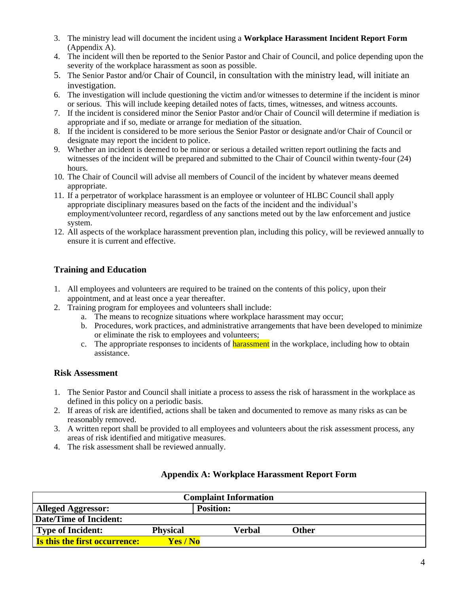- 3. The ministry lead will document the incident using a **Workplace Harassment Incident Report Form** (Appendix A).
- 4. The incident will then be reported to the Senior Pastor and Chair of Council, and police depending upon the severity of the workplace harassment as soon as possible.
- 5. The Senior Pastor and/or Chair of Council, in consultation with the ministry lead, will initiate an investigation.
- 6. The investigation will include questioning the victim and/or witnesses to determine if the incident is minor or serious. This will include keeping detailed notes of facts, times, witnesses, and witness accounts.
- 7. If the incident is considered minor the Senior Pastor and/or Chair of Council will determine if mediation is appropriate and if so, mediate or arrange for mediation of the situation.
- 8. If the incident is considered to be more serious the Senior Pastor or designate and/or Chair of Council or designate may report the incident to police.
- 9. Whether an incident is deemed to be minor or serious a detailed written report outlining the facts and witnesses of the incident will be prepared and submitted to the Chair of Council within twenty-four (24) hours.
- 10. The Chair of Council will advise all members of Council of the incident by whatever means deemed appropriate.
- 11. If a perpetrator of workplace harassment is an employee or volunteer of HLBC Council shall apply appropriate disciplinary measures based on the facts of the incident and the individual's employment/volunteer record, regardless of any sanctions meted out by the law enforcement and justice system.
- 12. All aspects of the workplace harassment prevention plan, including this policy, will be reviewed annually to ensure it is current and effective.

## **Training and Education**

- 1. All employees and volunteers are required to be trained on the contents of this policy, upon their appointment, and at least once a year thereafter.
- 2. Training program for employees and volunteers shall include:
	- a. The means to recognize situations where workplace harassment may occur;
	- b. Procedures, work practices, and administrative arrangements that have been developed to minimize or eliminate the risk to employees and volunteers;
	- c. The appropriate responses to incidents of **harassment** in the workplace, including how to obtain assistance.

## **Risk Assessment**

- 1. The Senior Pastor and Council shall initiate a process to assess the risk of harassment in the workplace as defined in this policy on a periodic basis.
- 2. If areas of risk are identified, actions shall be taken and documented to remove as many risks as can be reasonably removed.
- 3. A written report shall be provided to all employees and volunteers about the risk assessment process, any areas of risk identified and mitigative measures.
- 4. The risk assessment shall be reviewed annually.

| <b>Complaint Information</b>         |                 |                  |              |  |  |
|--------------------------------------|-----------------|------------------|--------------|--|--|
| <b>Alleged Aggressor:</b>            |                 | <b>Position:</b> |              |  |  |
| <b>Date/Time of Incident:</b>        |                 |                  |              |  |  |
| <b>Type of Incident:</b>             | <b>Physical</b> | Verbal           | <b>Other</b> |  |  |
| <b>Is this the first occurrence:</b> | Yes/No          |                  |              |  |  |

## **Appendix A: Workplace Harassment Report Form**